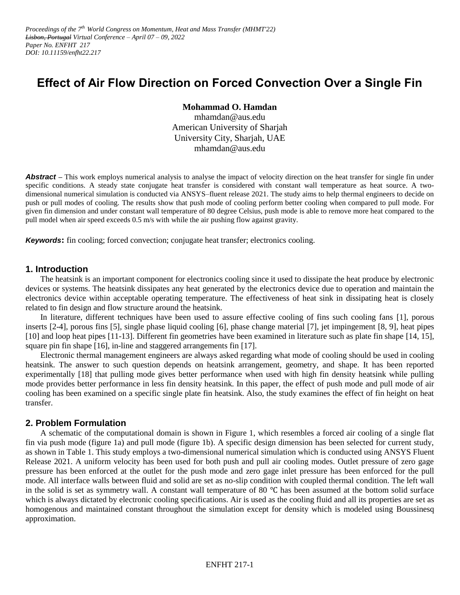*Proceedings of the 7 th World Congress on Momentum, Heat and Mass Transfer (MHMT'22) Lisbon, Portugal Virtual Conference – April 07 – 09, 2022 Paper No. ENFHT 217 DOI: 10.11159/enfht22.217*

# **Effect of Air Flow Direction on Forced Convection Over a Single Fin**

**Mohammad O. Hamdan**

mhamdan@aus.edu American University of Sharjah University City, Sharjah, UAE mhamdan@aus.edu

**Abstract** – This work employs numerical analysis to analyse the impact of velocity direction on the heat transfer for single fin under specific conditions. A steady state conjugate heat transfer is considered with constant wall temperature as heat source. A twodimensional numerical simulation is conducted via ANSYS–fluent release 2021. The study aims to help thermal engineers to decide on push or pull modes of cooling. The results show that push mode of cooling perform better cooling when compared to pull mode. For given fin dimension and under constant wall temperature of 80 degree Celsius, push mode is able to remove more heat compared to the pull model when air speed exceeds 0.5 m/s with while the air pushing flow against gravity.

*Keywords***:** fin cooling; forced convection; conjugate heat transfer; electronics cooling.

## **1. Introduction**

The heatsink is an important component for electronics cooling since it used to dissipate the heat produce by electronic devices or systems. The heatsink dissipates any heat generated by the electronics device due to operation and maintain the electronics device within acceptable operating temperature. The effectiveness of heat sink in dissipating heat is closely related to fin design and flow structure around the heatsink.

In literature, different techniques have been used to assure effective cooling of fins such cooling fans [1], porous inserts [2-4], porous fins [5], single phase liquid cooling [6], phase change material [7], jet impingement [8, 9], heat pipes [10] and loop heat pipes [11-13]. Different fin geometries have been examined in literature such as plate fin shape [14, 15], square pin fin shape [16], in-line and staggered arrangements fin [17].

Electronic thermal management engineers are always asked regarding what mode of cooling should be used in cooling heatsink. The answer to such question depends on heatsink arrangement, geometry, and shape. It has been reported experimentally [18] that pulling mode gives better performance when used with high fin density heatsink while pulling mode provides better performance in less fin density heatsink. In this paper, the effect of push mode and pull mode of air cooling has been examined on a specific single plate fin heatsink. Also, the study examines the effect of fin height on heat transfer.

## **2. Problem Formulation**

A schematic of the computational domain is shown in Figure 1, which resembles a forced air cooling of a single flat fin via push mode (figure 1a) and pull mode (figure 1b). A specific design dimension has been selected for current study, as shown in Table 1. This study employs a two-dimensional numerical simulation which is conducted using ANSYS Fluent Release 2021. A uniform velocity has been used for both push and pull air cooling modes. Outlet pressure of zero gage pressure has been enforced at the outlet for the push mode and zero gage inlet pressure has been enforced for the pull mode. All interface walls between fluid and solid are set as no-slip condition with coupled thermal condition. The left wall in the solid is set as symmetry wall. A constant wall temperature of 80  $\degree$ C has been assumed at the bottom solid surface which is always dictated by electronic cooling specifications. Air is used as the cooling fluid and all its properties are set as homogenous and maintained constant throughout the simulation except for density which is modeled using Boussinesq approximation.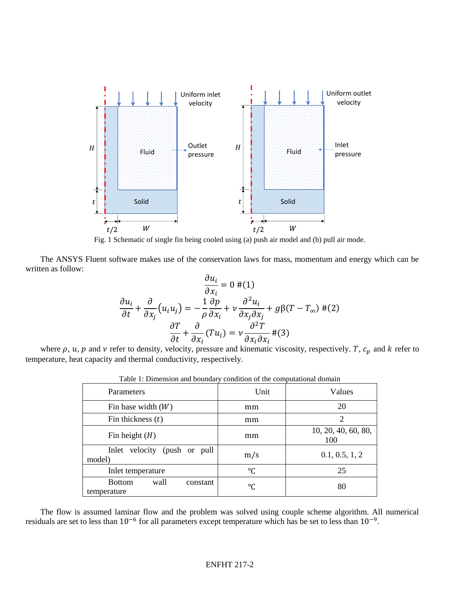

Fig. 1 Schematic of single fin being cooled using (a) push air model and (b) pull air mode.

The ANSYS Fluent software makes use of the conservation laws for mass, momentum and energy which can be written as follow:

$$
\frac{\partial u_i}{\partial x_i} = 0 \#(1)
$$

$$
\frac{\partial u_i}{\partial t} + \frac{\partial}{\partial x_j} (u_i u_j) = -\frac{1}{\rho} \frac{\partial p}{\partial x_i} + v \frac{\partial^2 u_i}{\partial x_j \partial x_j} + g\beta (T - T_\infty) \#(2)
$$

$$
\frac{\partial T}{\partial t} + \frac{\partial}{\partial x_i} (Tu_i) = v \frac{\partial^2 T}{\partial x_i \partial x_i} \#(3)
$$

where  $\rho$ ,  $u$ ,  $p$  and  $\nu$  refer to density, velocity, pressure and kinematic viscosity, respectively. T,  $c_p$  and  $k$  refer to temperature, heat capacity and thermal conductivity, respectively.

| raore 1. Dimension and countain y condition of the comparational domain |      |                            |
|-------------------------------------------------------------------------|------|----------------------------|
| Parameters                                                              | Unit | Values                     |
| Fin base width $(W)$                                                    | mm   | 20                         |
| Fin thickness $(t)$                                                     | mm   | 2                          |
| Fin height $(H)$                                                        | mm   | 10, 20, 40, 60, 80,<br>100 |
| Inlet velocity<br>(push or pull<br>model)                               | m/s  | 0.1, 0.5, 1, 2             |
| Inlet temperature                                                       | °C   | 25                         |
| <b>Bottom</b><br>wall<br>constant<br>temperature                        | °C   | 80                         |

Table 1: Dimension and boundary condition of the computational domain

The flow is assumed laminar flow and the problem was solved using couple scheme algorithm. All numerical residuals are set to less than  $10^{-6}$  for all parameters except temperature which has be set to less than  $10^{-9}$ .

#### ENFHT 217-2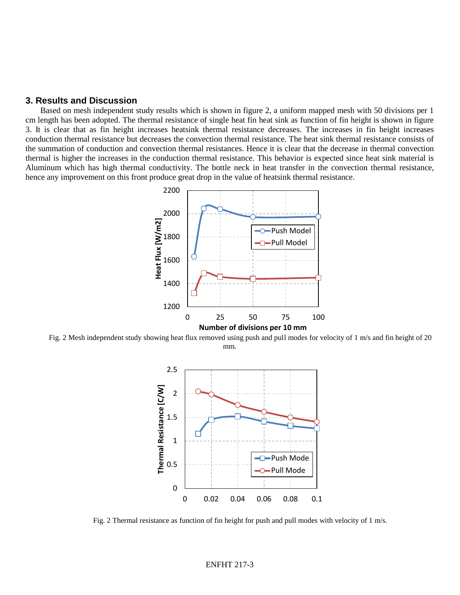## **3. Results and Discussion**

Based on mesh independent study results which is shown in figure 2, a uniform mapped mesh with 50 divisions per 1 cm length has been adopted. The thermal resistance of single heat fin heat sink as function of fin height is shown in figure 3. It is clear that as fin height increases heatsink thermal resistance decreases. The increases in fin height increases conduction thermal resistance but decreases the convection thermal resistance. The heat sink thermal resistance consists of the summation of conduction and convection thermal resistances. Hence it is clear that the decrease in thermal convection thermal is higher the increases in the conduction thermal resistance. This behavior is expected since heat sink material is Aluminum which has high thermal conductivity. The bottle neck in heat transfer in the convection thermal resistance, hence any improvement on this front produce great drop in the value of heatsink thermal resistance.



Fig. 2 Mesh independent study showing heat flux removed using push and pull modes for velocity of 1 m/s and fin height of 20 mm.



Fig. 2 Thermal resistance as function of fin height for push and pull modes with velocity of 1 m/s.

#### ENFHT 217-3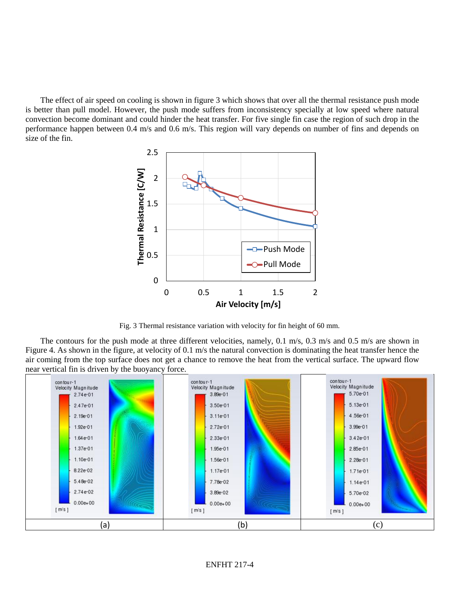The effect of air speed on cooling is shown in figure 3 which shows that over all the thermal resistance push mode is better than pull model. However, the push mode suffers from inconsistency specially at low speed where natural convection become dominant and could hinder the heat transfer. For five single fin case the region of such drop in the performance happen between 0.4 m/s and 0.6 m/s. This region will vary depends on number of fins and depends on size of the fin.



Fig. 3 Thermal resistance variation with velocity for fin height of 60 mm.

The contours for the push mode at three different velocities, namely, 0.1 m/s, 0.3 m/s and 0.5 m/s are shown in Figure 4. As shown in the figure, at velocity of 0.1 m/s the natural convection is dominating the heat transfer hence the air coming from the top surface does not get a chance to remove the heat from the vertical surface. The upward flow near vertical fin is driven by the buoyancy force.

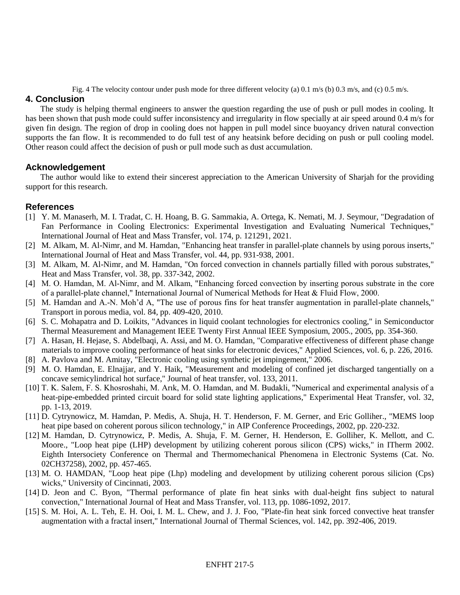Fig. 4 The velocity contour under push mode for three different velocity (a) 0.1 m/s (b) 0.3 m/s, and (c) 0.5 m/s.

# **4. Conclusion**

The study is helping thermal engineers to answer the question regarding the use of push or pull modes in cooling. It has been shown that push mode could suffer inconsistency and irregularity in flow specially at air speed around 0.4 m/s for given fin design. The region of drop in cooling does not happen in pull model since buoyancy driven natural convection supports the fan flow. It is recommended to do full test of any heatsink before deciding on push or pull cooling model. Other reason could affect the decision of push or pull mode such as dust accumulation.

# **Acknowledgement**

The author would like to extend their sincerest appreciation to the American University of Sharjah for the providing support for this research.

# **References**

- [1] Y. M. Manaserh, M. I. Tradat, C. H. Hoang, B. G. Sammakia, A. Ortega, K. Nemati, M. J. Seymour, "Degradation of Fan Performance in Cooling Electronics: Experimental Investigation and Evaluating Numerical Techniques," International Journal of Heat and Mass Transfer, vol. 174, p. 121291, 2021.
- [2] M. Alkam, M. Al-Nimr, and M. Hamdan, "Enhancing heat transfer in parallel-plate channels by using porous inserts," International Journal of Heat and Mass Transfer, vol. 44, pp. 931-938, 2001.
- [3] M. Alkam, M. Al-Nimr, and M. Hamdan, "On forced convection in channels partially filled with porous substrates," Heat and Mass Transfer, vol. 38, pp. 337-342, 2002.
- [4] M. O. Hamdan, M. Al-Nimr, and M. Alkam, "Enhancing forced convection by inserting porous substrate in the core of a parallel-plate channel," International Journal of Numerical Methods for Heat & Fluid Flow, 2000.
- [5] M. Hamdan and A.-N. Moh'd A, "The use of porous fins for heat transfer augmentation in parallel-plate channels," Transport in porous media, vol. 84, pp. 409-420, 2010.
- [6] S. C. Mohapatra and D. Loikits, "Advances in liquid coolant technologies for electronics cooling," in Semiconductor Thermal Measurement and Management IEEE Twenty First Annual IEEE Symposium, 2005., 2005, pp. 354-360.
- [7] A. Hasan, H. Hejase, S. Abdelbaqi, A. Assi, and M. O. Hamdan, "Comparative effectiveness of different phase change materials to improve cooling performance of heat sinks for electronic devices," Applied Sciences, vol. 6, p. 226, 2016.
- [8] A. Pavlova and M. Amitay, "Electronic cooling using synthetic jet impingement," 2006.
- [9] M. O. Hamdan, E. Elnajjar, and Y. Haik, "Measurement and modeling of confined jet discharged tangentially on a concave semicylindrical hot surface," Journal of heat transfer, vol. 133, 2011.
- [10] T. K. Salem, F. S. Khosroshahi, M. Arık, M. O. Hamdan, and M. Budakli, "Numerical and experimental analysis of a heat-pipe-embedded printed circuit board for solid state lighting applications," Experimental Heat Transfer, vol. 32, pp. 1-13, 2019.
- [11] D. Cytrynowicz, M. Hamdan, P. Medis, A. Shuja, H. T. Henderson, F. M. Gerner, and Eric Golliher., "MEMS loop heat pipe based on coherent porous silicon technology," in AIP Conference Proceedings, 2002, pp. 220-232.
- [12] M. Hamdan, D. Cytrynowicz, P. Medis, A. Shuja, F. M. Gerner, H. Henderson, E. Golliher, K. Mellott, and C. Moore., "Loop heat pipe (LHP) development by utilizing coherent porous silicon (CPS) wicks," in ITherm 2002. Eighth Intersociety Conference on Thermal and Thermomechanical Phenomena in Electronic Systems (Cat. No. 02CH37258), 2002, pp. 457-465.
- [13] M. O. HAMDAN, "Loop heat pipe (Lhp) modeling and development by utilizing coherent porous silicion (Cps) wicks," University of Cincinnati, 2003.
- [14] D. Jeon and C. Byon, "Thermal performance of plate fin heat sinks with dual-height fins subject to natural convection," International Journal of Heat and Mass Transfer, vol. 113, pp. 1086-1092, 2017.
- [15] S. M. Hoi, A. L. Teh, E. H. Ooi, I. M. L. Chew, and J. J. Foo, "Plate-fin heat sink forced convective heat transfer augmentation with a fractal insert," International Journal of Thermal Sciences, vol. 142, pp. 392-406, 2019.